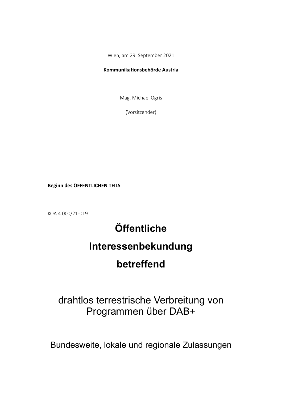Wien, am 29. September 2021

# Kommunikationsbehörde Austria

Mag. Michael Ogris

(Vorsitzender)

Beginn des ÖFFENTLICHEN TEILS

KOA 4.000/21-019

# Öffentliche

# Interessenbekundung

# betreffend

# drahtlos terrestrische Verbreitung von Programmen über DAB+

Bundesweite, lokale und regionale Zulassungen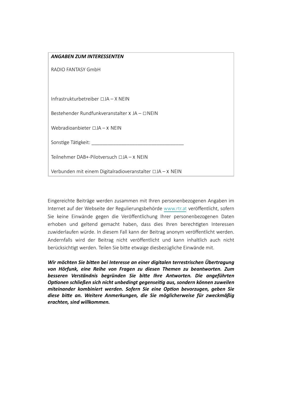| <b>ANGABEN ZUM INTERESSENTEN</b>                                  |  |
|-------------------------------------------------------------------|--|
| RADIO FANTASY GmbH                                                |  |
|                                                                   |  |
|                                                                   |  |
| Infrastrukturbetreiber $\Box$ JA – X NEIN                         |  |
| Bestehender Rundfunkveranstalter $X$ JA – $\Box$ NEIN             |  |
| Webradioanbieter $\Box$ JA $-$ X NEIN                             |  |
|                                                                   |  |
| Sonstige Tätigkeit:                                               |  |
| Teilnehmer DAB+-Pilotversuch □JA - X NEIN                         |  |
| Verbunden mit einem Digitalradioveranstalter $\Box$ JA $-$ X NEIN |  |
|                                                                   |  |

Eingereichte Beiträge werden zusammen mit Ihren personenbezogenen Angaben im Internet auf der Webseite der Regulierungsbehörde www.rtr.at veröffentlicht, sofern Sie keine Einwände gegen die Veröffentlichung Ihrer personenbezogenen Daten erhoben und geltend gemacht haben, dass dies Ihren berechtigten Interessen zuwiderlaufen würde. In diesem Fall kann der Beitrag anonym veröffentlicht werden. Andernfalls wird der Beitrag nicht veröffentlicht und kann inhaltlich auch nicht berücksichtigt werden. Teilen Sie bitte etwaige diesbezügliche Einwände mit.

Wir möchten Sie bitten bei Interesse an einer digitalen terrestrischen Übertragung von Hörfunk, eine Reihe von Fragen zu diesen Themen zu beantworten. Zum besseren Verständnis begründen Sie bitte Ihre Antworten. Die angeführten Optionen schließen sich nicht unbedingt gegenseitig aus, sondern können zuweilen miteinander kombiniert werden. Sofern Sie eine Option bevorzugen, geben Sie diese bitte an. Weitere Anmerkungen, die Sie möglicherweise für zweckmäßig erachten, sind willkommen.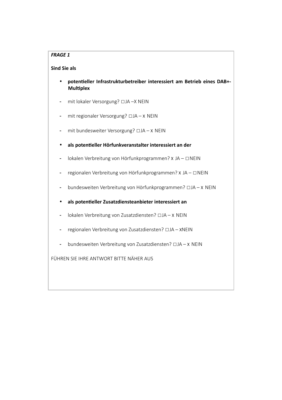# **FRAGE 1**

#### **Sind Sie als**

- potentieller Infrastrukturbetreiber interessiert am Betrieb eines DAB+-**Multiplex**
- 
- mit regionaler Versorgung? □JA-X NEIN  $\frac{1}{2}$
- mit bundesweiter Versorgung? □JA X NEIN  $\omega_{\rm{max}}$
- als potentieller Hörfunkveranstalter interessiert an der  $\bullet$
- Iokalen Verbreitung von Hörfunkprogrammen? x JA □ NEIN  $\overline{\phantom{0}}$
- regionalen Verbreitung von Hörfunkprogrammen? x JA □ NEIN  $\blacksquare$
- bundesweiten Verbreitung von Hörfunkprogrammen? □JA-X NEIN  $\sim$
- als potentieller Zusatzdiensteanbieter interessiert an  $\bullet$
- Iokalen Verbreitung von Zusatzdiensten? □ JA x NEIN  $\sim$
- regionalen Verbreitung von Zusatzdiensten? □ JA XNEIN  $\sim$   $-$
- bundesweiten Verbreitung von Zusatzdiensten? [DJA X NEIN]

FÜHREN SIE IHRE ANTWORT BITTE NÄHER AUS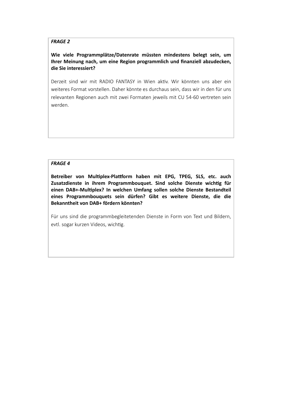#### **FRAGE 2**

# Wie viele Programmplätze/Datenrate müssten mindestens belegt sein, um Ihrer Meinung nach, um eine Region programmlich und finanziell abzudecken, die Sie interessiert?

Derzeit sind wir mit RADIO FANTASY in Wien aktiv. Wir könnten uns aber ein weiteres Format vorstellen. Daher könnte es durchaus sein, dass wir in den für uns relevanten Regionen auch mit zwei Formaten jeweils mit CU 54-60 vertreten sein werden.

#### **FRAGE 4**

Betreiber von Multiplex-Plattform haben mit EPG, TPEG, SLS, etc. auch Zusatzdienste in ihrem Programmbouquet. Sind solche Dienste wichtig für einen DAB+-Multiplex? In welchen Umfang sollen solche Dienste Bestandteil eines Programmbouquets sein dürfen? Gibt es weitere Dienste, die die Bekanntheit von DAB+ fördern könnten?

Für uns sind die programmbegleitetenden Dienste in Form von Text und Bildern, evtl. sogar kurzen Videos, wichtig.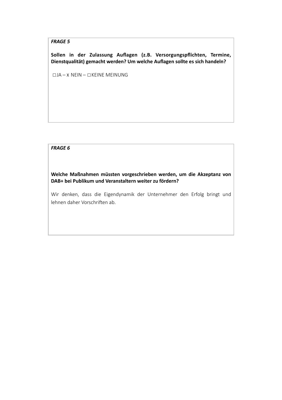# **FRAGE 5**

Sollen in der Zulassung Auflagen (z.B. Versorgungspflichten, Termine, Dienstqualität) gemacht werden? Um welche Auflagen sollte es sich handeln?

 $\Box$ JA – X NEIN –  $\Box$ KEINE MEINUNG

### **FRAGE 6**

Welche Maßnahmen müssten vorgeschrieben werden, um die Akzeptanz von DAB+ bei Publikum und Veranstaltern weiter zu fördern?

Wir denken, dass die Eigendynamik der Unternehmer den Erfolg bringt und lehnen daher Vorschriften ab.